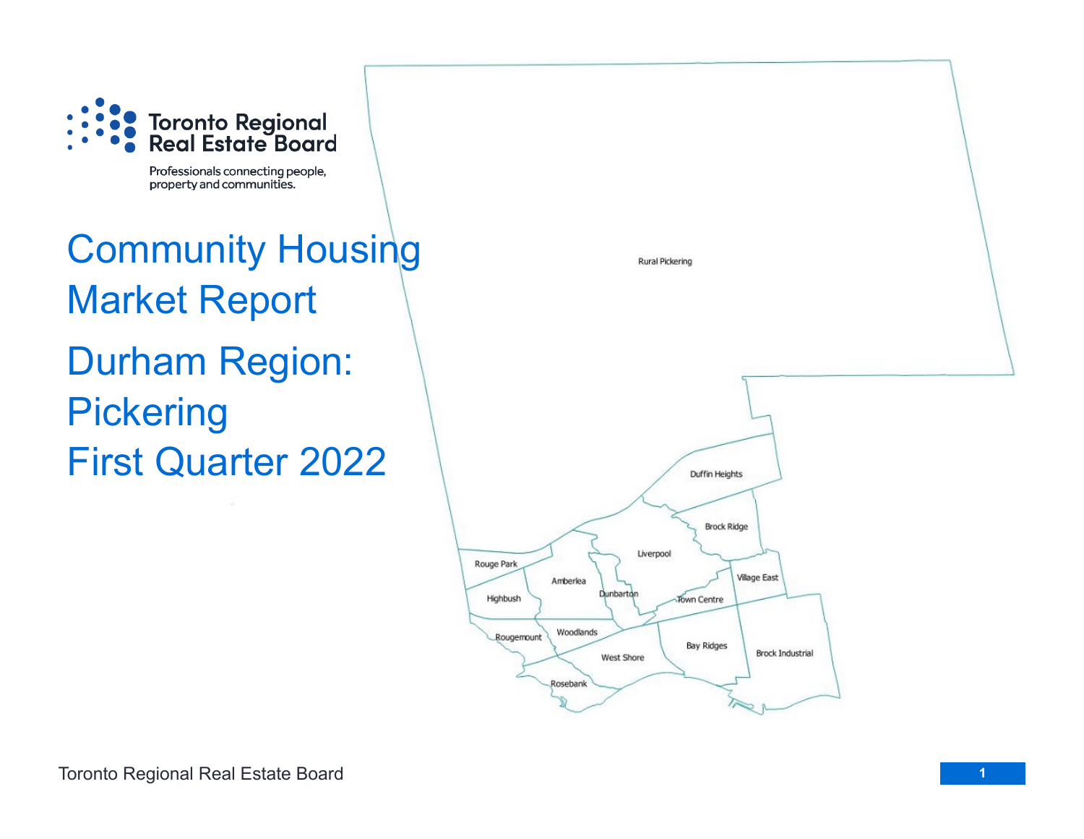

Professionals connecting people, property and communities.

# Community Housing Market Report Durham Region: **Pickering** First Quarter 2022

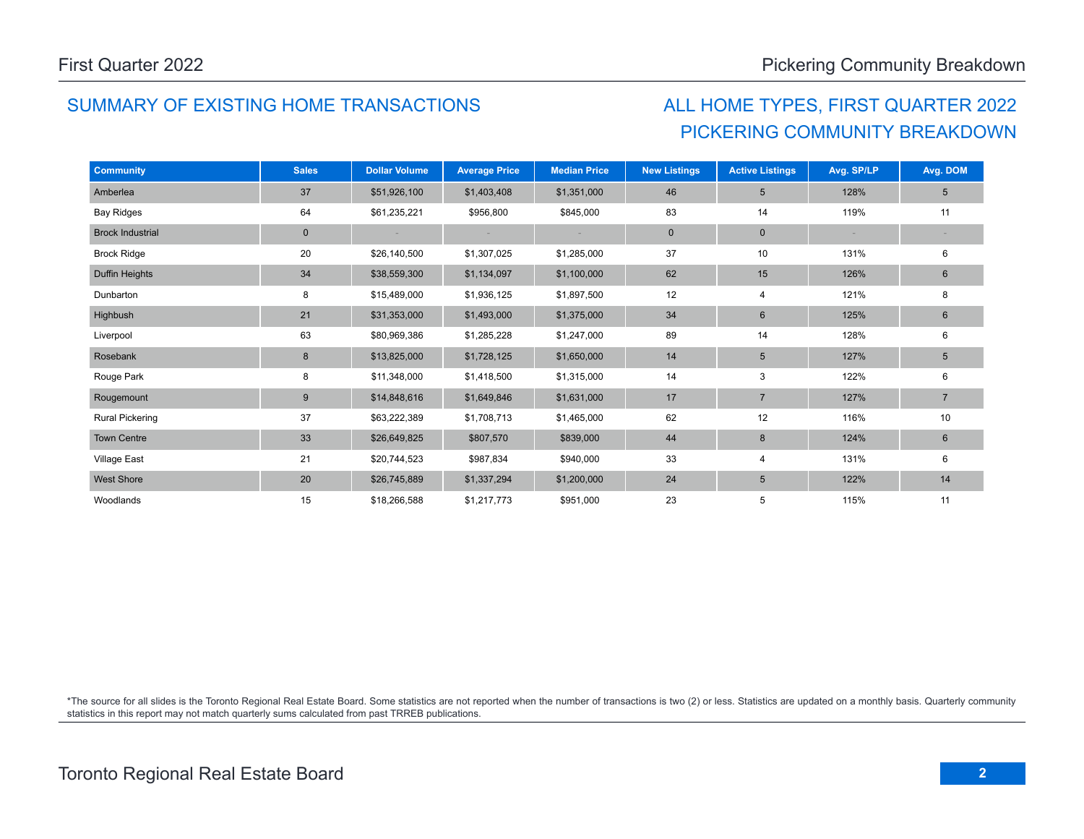### SUMMARY OF EXISTING HOME TRANSACTIONS ALL HOME TYPES, FIRST QUARTER 2022

# PICKERING COMMUNITY BREAKDOWN

| <b>Community</b>        | <b>Sales</b> | <b>Dollar Volume</b> | <b>Average Price</b> | <b>Median Price</b> | <b>New Listings</b> | <b>Active Listings</b> | Avg. SP/LP | Avg. DOM        |
|-------------------------|--------------|----------------------|----------------------|---------------------|---------------------|------------------------|------------|-----------------|
| Amberlea                | 37           | \$51,926,100         | \$1,403,408          | \$1,351,000         | 46                  | $5\phantom{.0}$        | 128%       | $5\overline{)}$ |
| <b>Bay Ridges</b>       | 64           | \$61,235,221         | \$956,800            | \$845,000           | 83                  | 14                     | 119%       | 11              |
| <b>Brock Industrial</b> | $\mathbf 0$  |                      |                      |                     | $\pmb{0}$           | $\mathbf 0$            |            |                 |
| <b>Brock Ridge</b>      | 20           | \$26,140,500         | \$1,307,025          | \$1,285,000         | 37                  | 10                     | 131%       | 6               |
| Duffin Heights          | 34           | \$38,559,300         | \$1,134,097          | \$1,100,000         | 62                  | 15                     | 126%       | $6\phantom{.}$  |
| Dunbarton               | 8            | \$15,489,000         | \$1,936,125          | \$1,897,500         | 12                  | $\overline{4}$         | 121%       | 8               |
| Highbush                | 21           | \$31,353,000         | \$1,493,000          | \$1,375,000         | 34                  | $6\phantom{1}6$        | 125%       | $6\phantom{.}$  |
| Liverpool               | 63           | \$80,969,386         | \$1,285,228          | \$1,247,000         | 89                  | 14                     | 128%       | 6               |
| Rosebank                | 8            | \$13,825,000         | \$1,728,125          | \$1,650,000         | 14                  | $5\phantom{.0}$        | 127%       | $5\phantom{.0}$ |
| Rouge Park              | 8            | \$11,348,000         | \$1,418,500          | \$1,315,000         | 14                  | 3                      | 122%       | 6               |
| Rougemount              | 9            | \$14,848,616         | \$1,649,846          | \$1,631,000         | 17                  | $\overline{7}$         | 127%       | $\overline{7}$  |
| <b>Rural Pickering</b>  | 37           | \$63,222,389         | \$1,708,713          | \$1,465,000         | 62                  | 12                     | 116%       | 10              |
| <b>Town Centre</b>      | 33           | \$26,649,825         | \$807,570            | \$839,000           | 44                  | 8                      | 124%       | $6\phantom{.}$  |
| <b>Village East</b>     | 21           | \$20,744,523         | \$987,834            | \$940,000           | 33                  | $\overline{4}$         | 131%       | 6               |
| <b>West Shore</b>       | 20           | \$26,745,889         | \$1,337,294          | \$1,200,000         | 24                  | $5\phantom{.0}$        | 122%       | 14              |
| Woodlands               | 15           | \$18,266,588         | \$1,217,773          | \$951,000           | 23                  | 5                      | 115%       | 11              |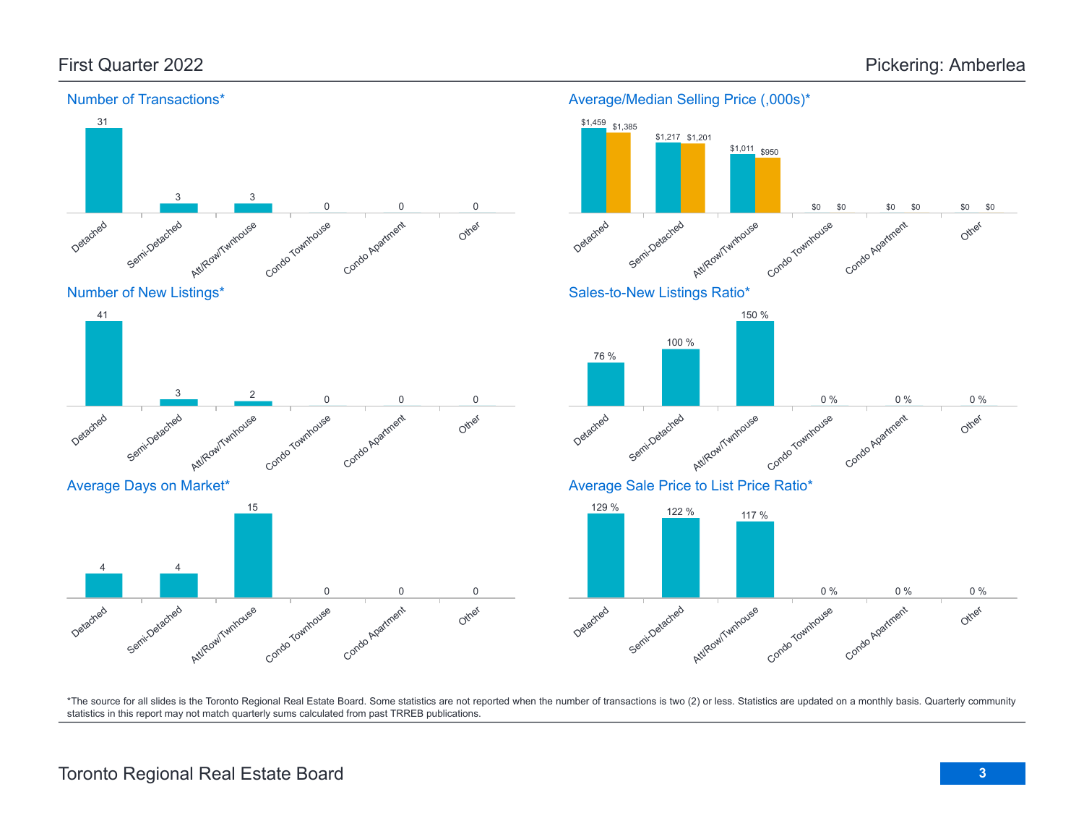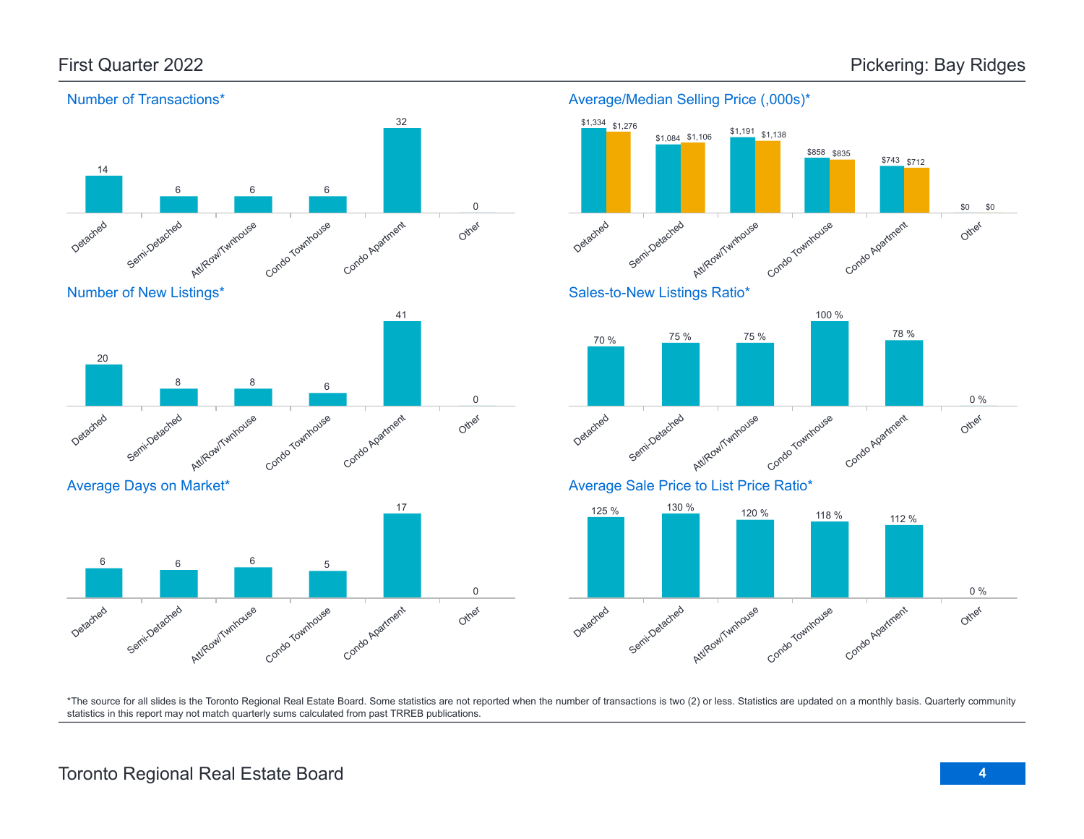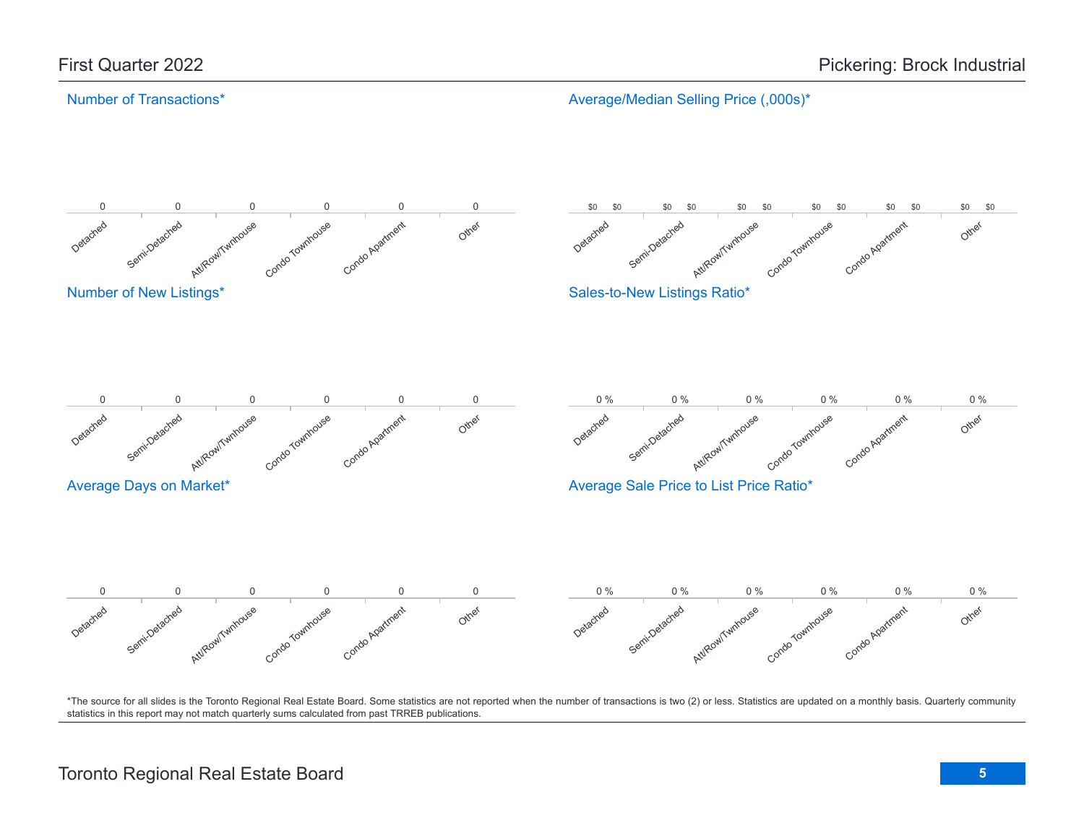### Number of Transactions\*

Average/Median Selling Price (,000s)\*

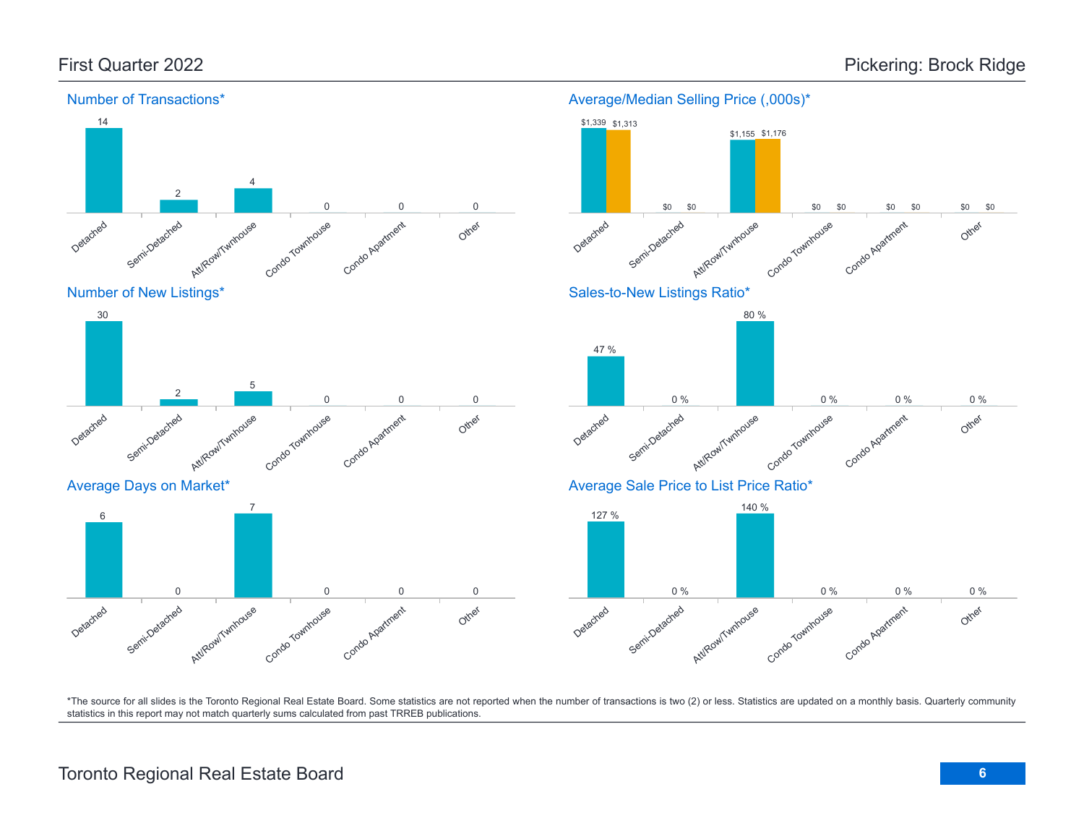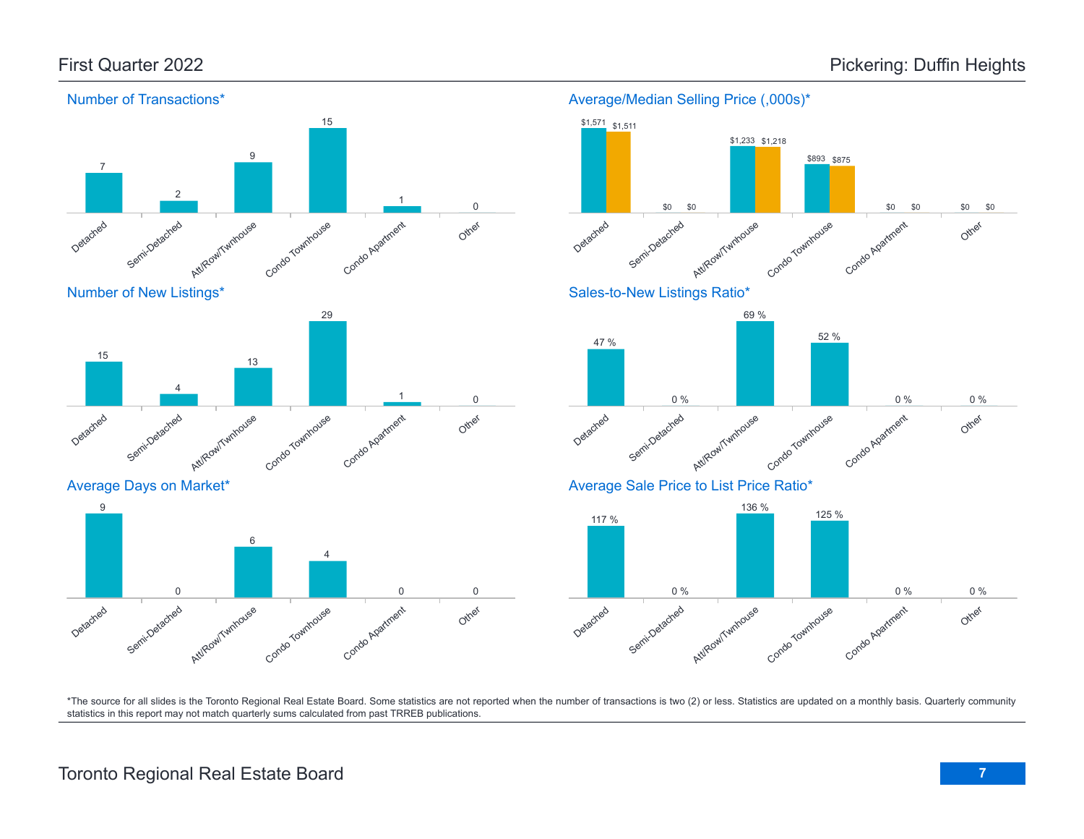Other

Other

Other

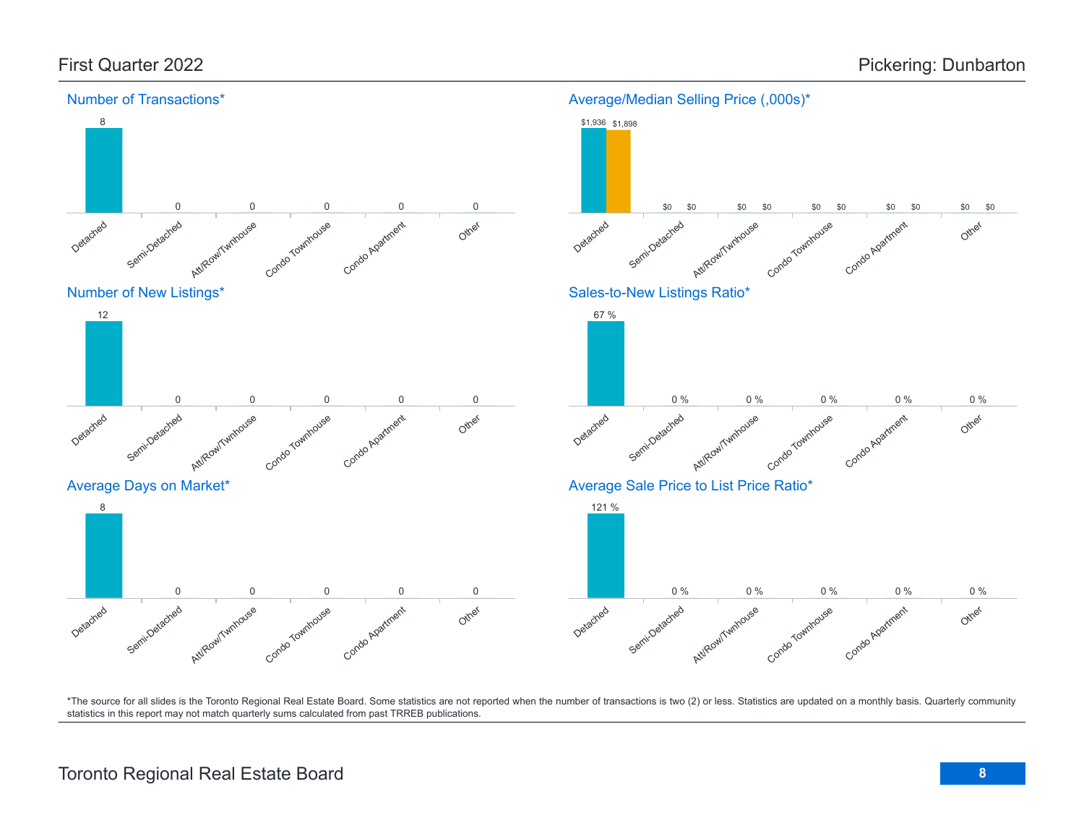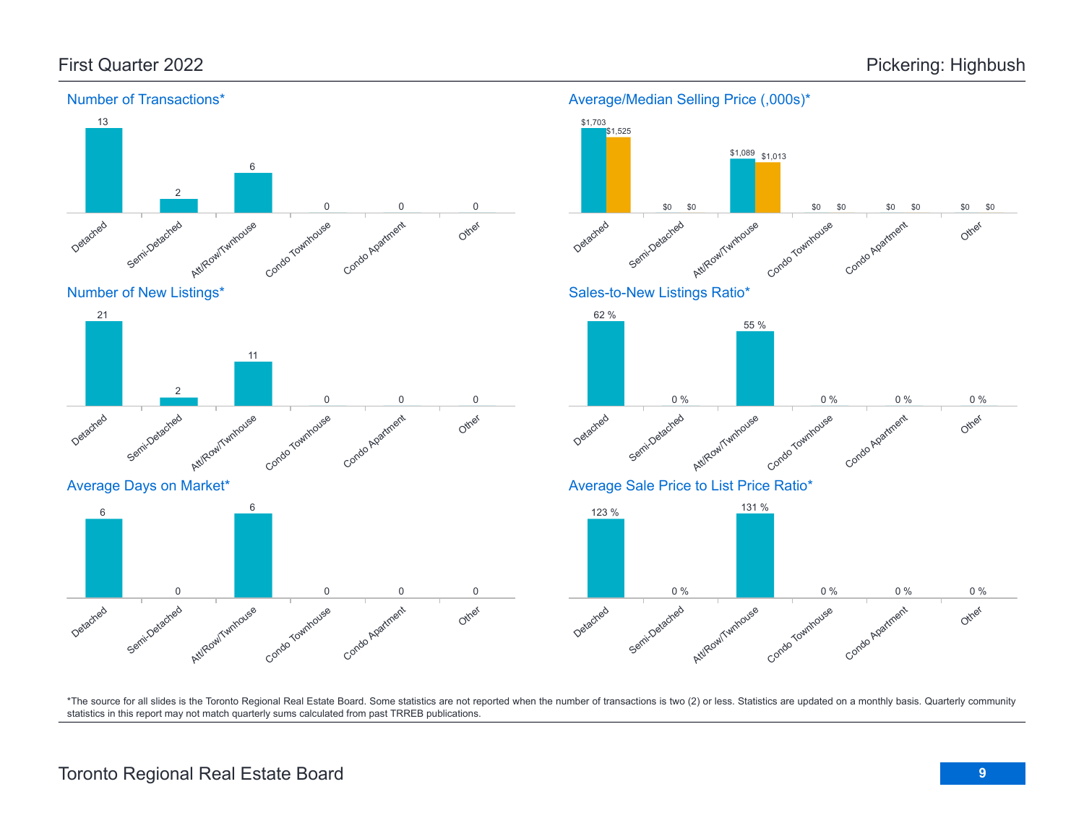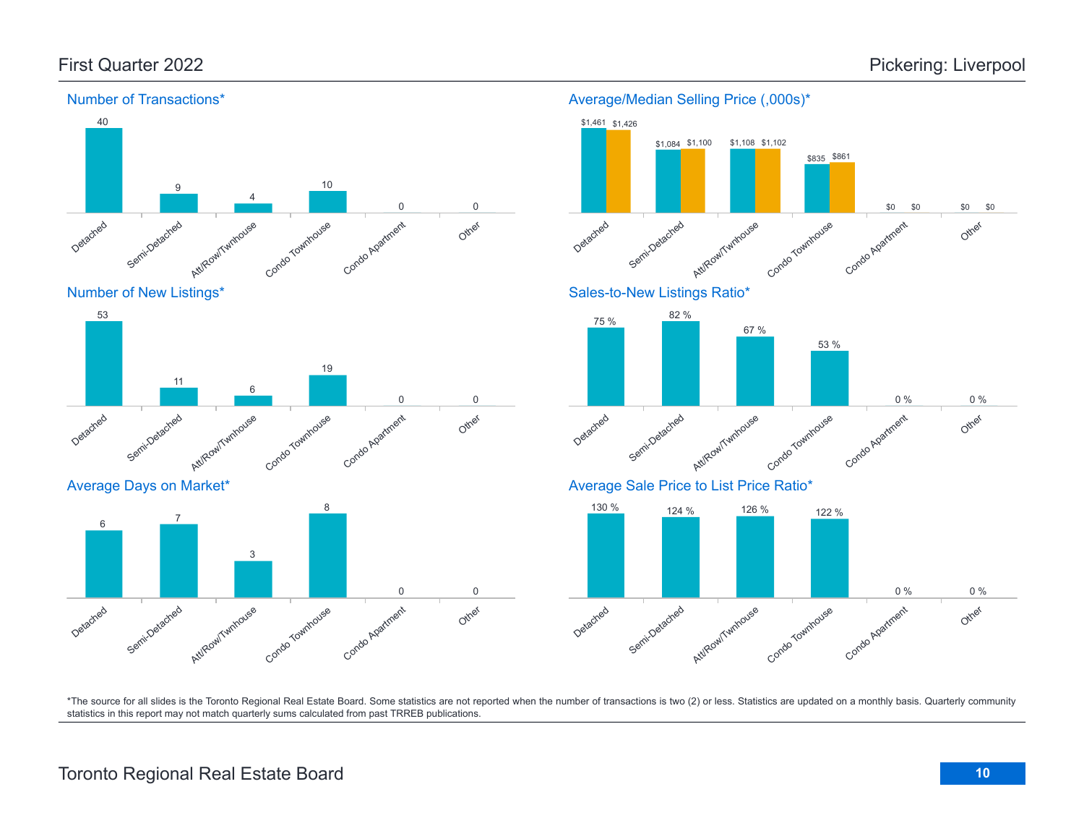

#### Detached Semi-Detached Att/Row/Twnhouse Condo Townhouse Condo Apartment Other 53 11 6 19 0 0 Average Days on Market\*





\*The source for all slides is the Toronto Regional Real Estate Board. Some statistics are not reported when the number of transactions is two (2) or less. Statistics are updated on a monthly basis. Quarterly community statistics in this report may not match quarterly sums calculated from past TRREB publications.

## Toronto Regional Real Estate Board **10**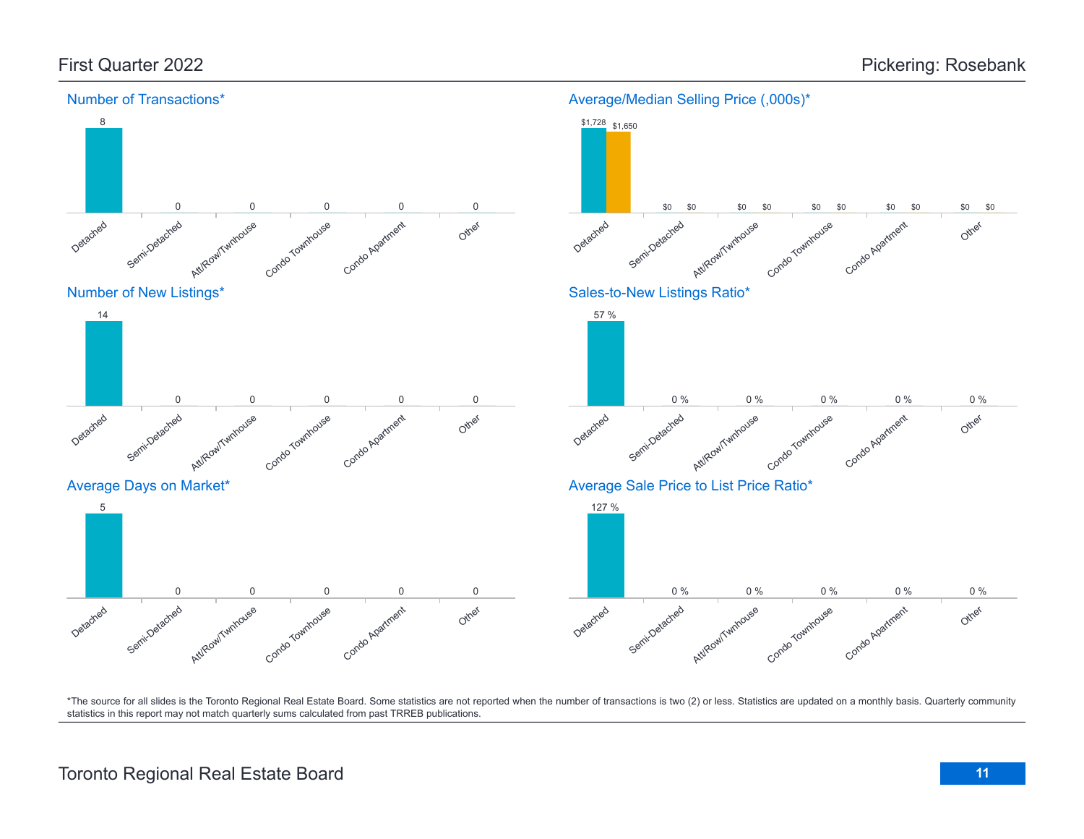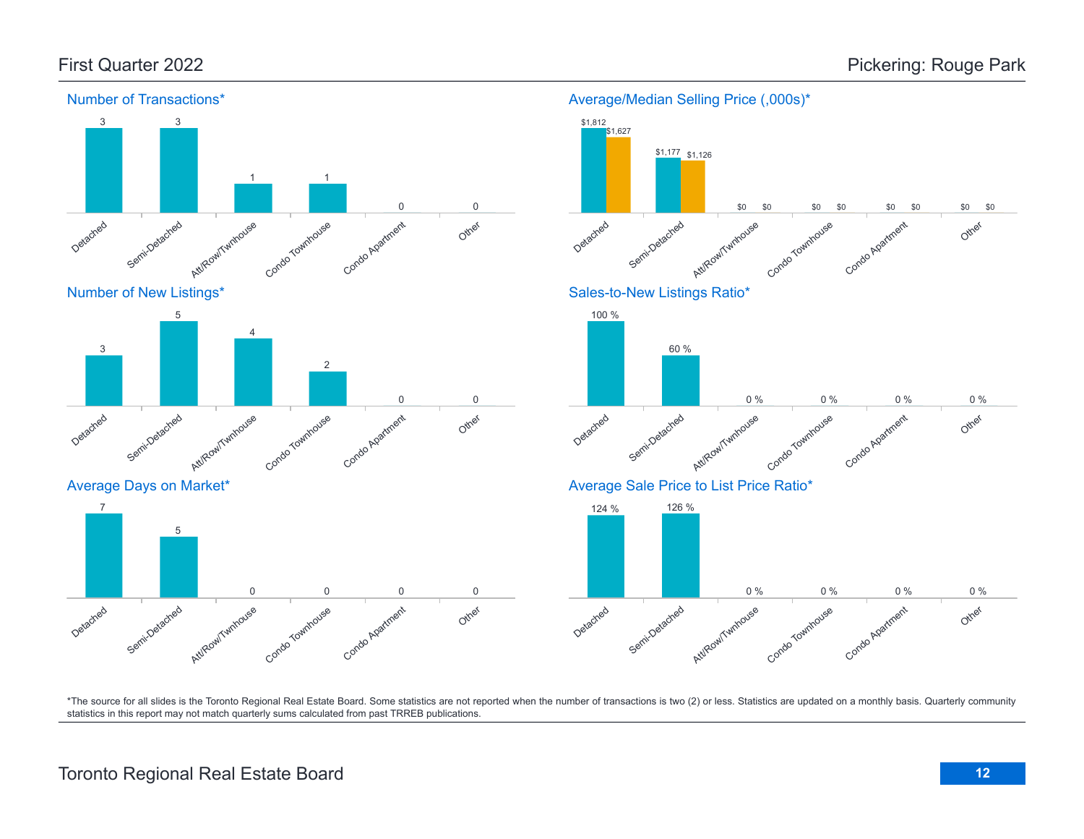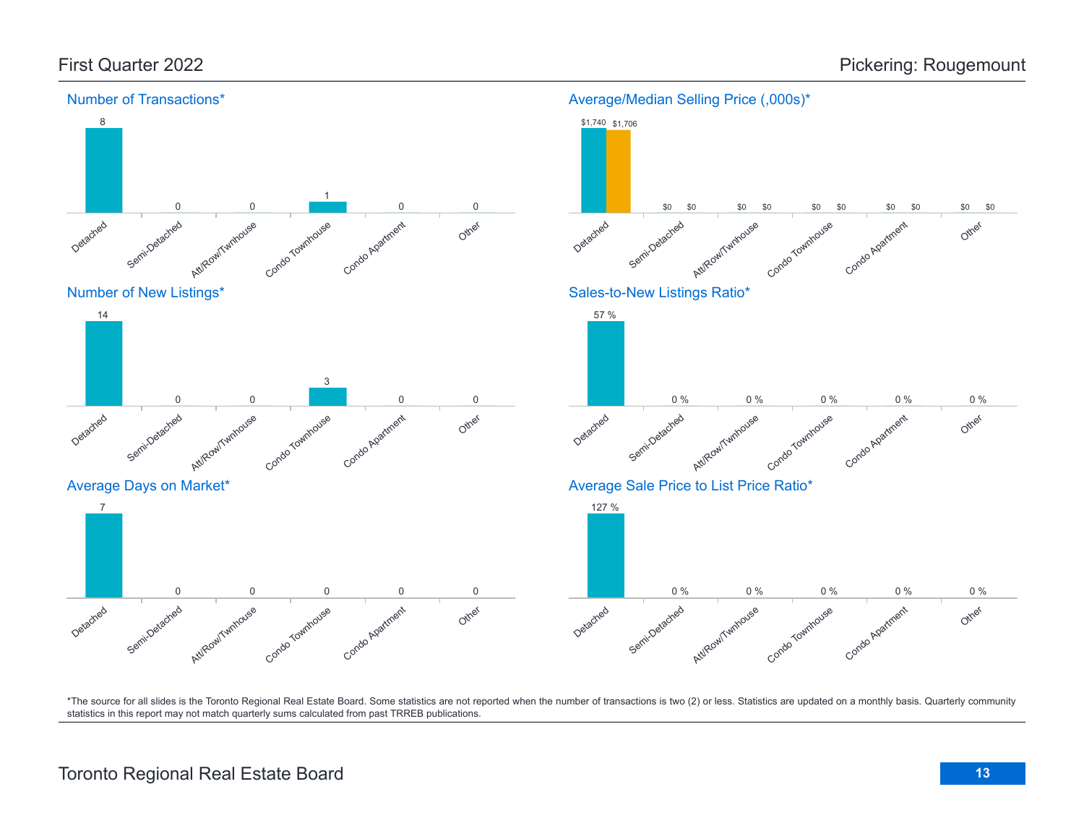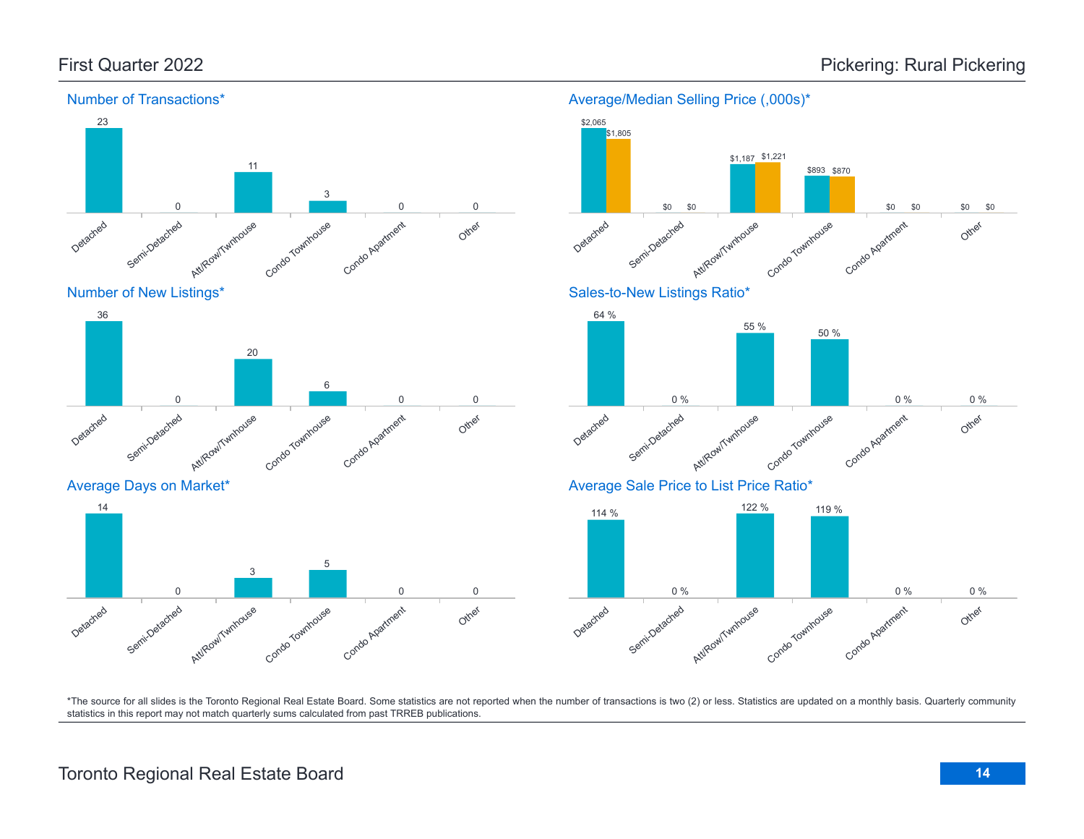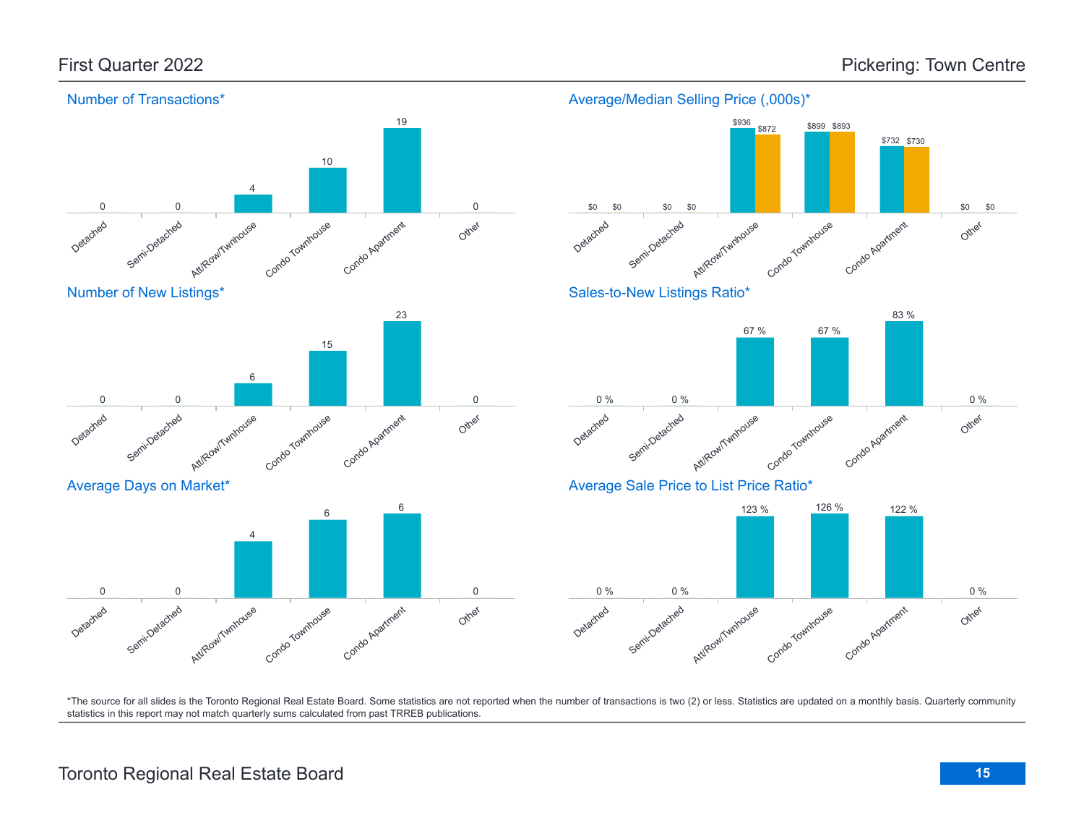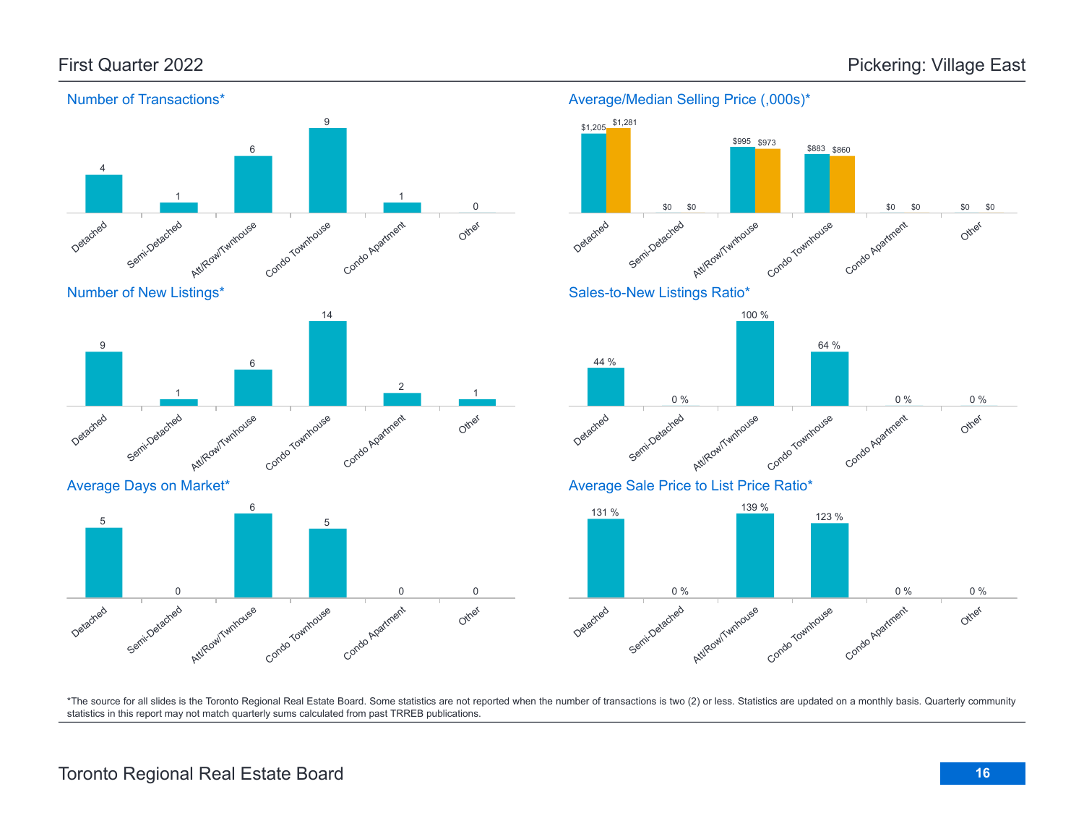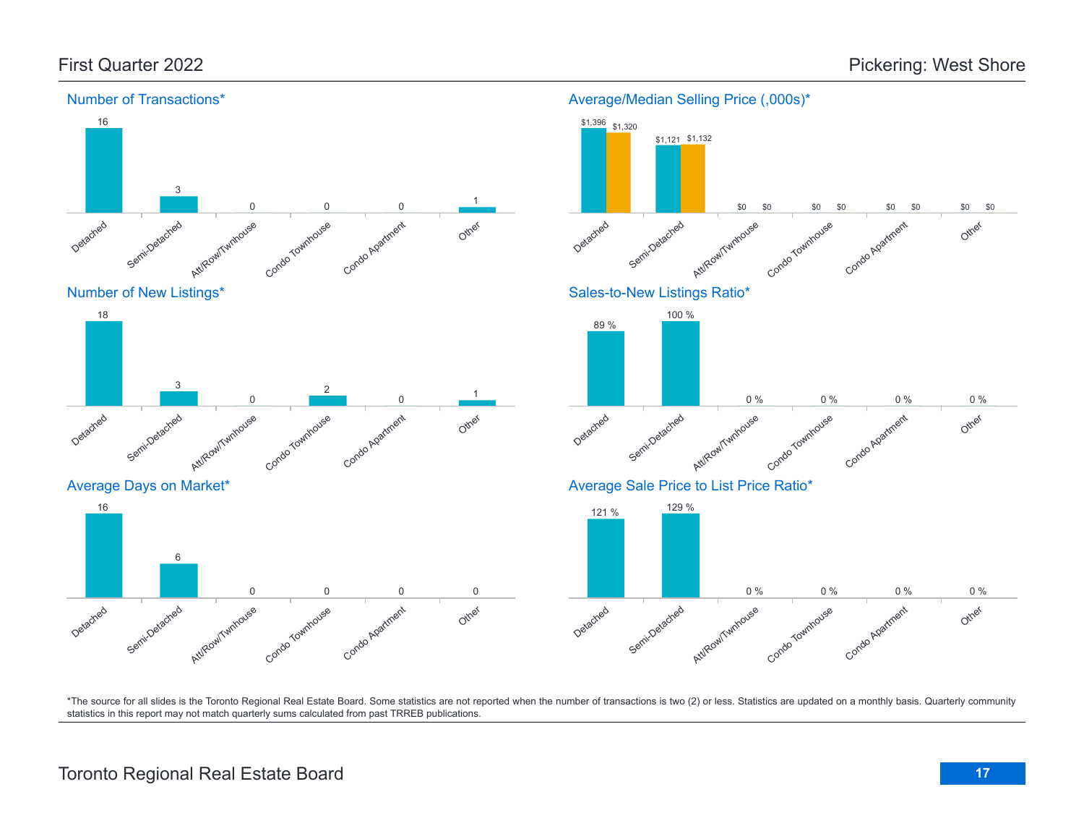